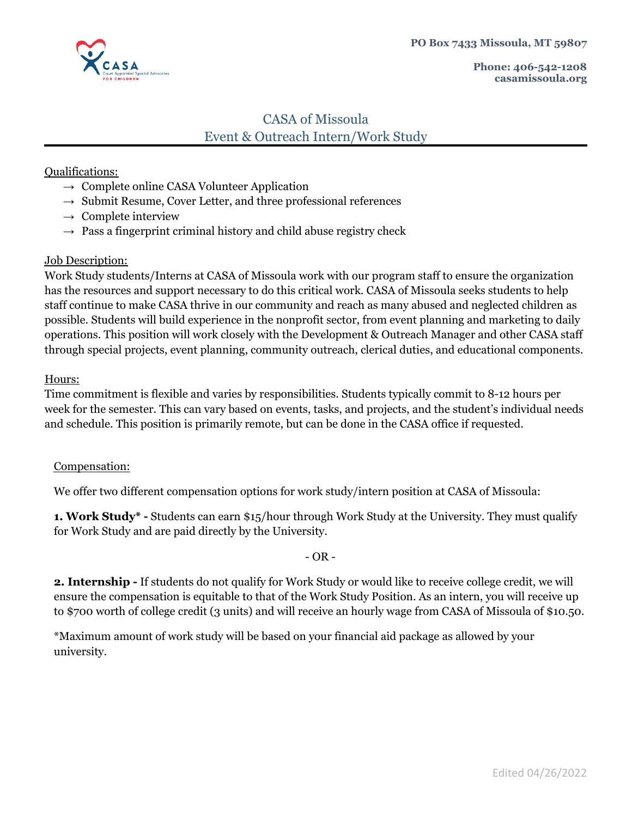

# CASA of Missoula Event & Outreach Intern/Work Study

## Qualifications:

- $\rightarrow$  Complete online CASA Volunteer Application
- $\rightarrow$  Submit Resume, Cover Letter, and three professional references
- $\rightarrow$  Complete interview
- $\rightarrow$  Pass a fingerprint criminal history and child abuse registry check

### Job Description:

Work Study students/Interns at CASA of Missoula work with our program staff to ensure the organization has the resources and support necessary to do this critical work. CASA of Missoula seeks students to help staff continue to make CASA thrive in our community and reach as many abused and neglected children as possible. Students will build experience in the nonprofit sector, from event planning and marketing to daily operations. This position will work closely with the Development & Outreach Manager and other CASA staff through special projects, event planning, community outreach, clerical duties, and educational components.

### Hours:

Time commitment is flexible and varies by responsibilities. Students typically commit to 8-12 hours per week for the semester. This can vary based on events, tasks, and projects, and the student's individual needs and schedule. This position is primarily remote, but can be done in the CASA office if requested.

## Compensation:

We offer two different compensation options for work study/intern position at CASA of Missoula:

**1. Work Study\* -** Students can earn \$15/hour through Work Study at the University. They must qualify for Work Study and are paid directly by the University.

## $-$  OR  $-$

**2. Internship -** If students do not qualify for Work Study or would like to receive college credit, we will ensure the compensation is equitable to that of the Work Study Position. As an intern, you will receive up to \$700 worth of college credit (3 units) and will receive an hourly wage from CASA of Missoula of \$10.50.

\*Maximum amount of work study will be based on your financial aid package as allowed by your university.